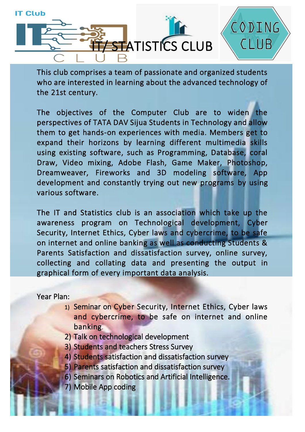

This club comprises a team of passionate and organized students who are interested in learning about the advanced technology of the 21st century.

CODING

**CLUB** 

The objectives of the Computer Club are to widen the perspectives of TATA DAV Sijua Students in Technology and allow them to get hands-on experiences with media. Members get to expand their horizons by learning different multimedia skills using existing software, such as Programming, Database, coral Draw, Video mixing, Adobe Flash, Game Maker, Photoshop, Dreamweaver, Fireworks and 3D modeling software, App development and constantly trying out new programs by using various software.

The IT and Statistics club is an association which take up the awareness program on Technological development, Cyber Security, Internet Ethics, Cyber laws and cybercrime, to be safe on internet and online banking as well as conducting Students & Parents Satisfaction and dissatisfaction survey, online survey, collecting and collating data and presenting the output in graphical form of every important data analysis.

Year Plan:

- 1) Seminar on Cyber Security, Internet Ethics, Cyber laws and cybercrime, to be safe on internet and online banking.
- 2) Talk on technological development
- 3) Students and teachers Stress Survey
- 4) Students satisfaction and dissatisfaction survey
- 5) Parents satisfaction and dissatisfaction survey
- 6) Seminars on Robotics and Artificial Intelligence.
- 7) Mobile App coding